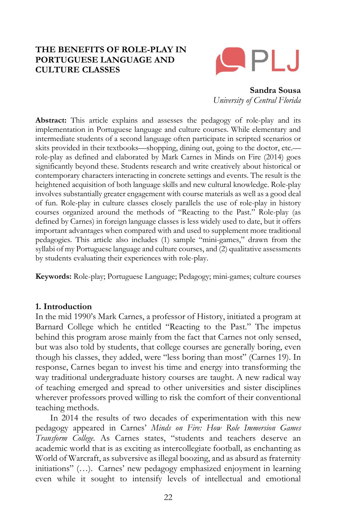# **THE BENEFITS OF ROLE-PLAY IN PORTUGUESE LANGUAGE AND CULTURE CLASSES**



**Sandra Sousa** *University of Central Florida*

**Abstract:** This article explains and assesses the pedagogy of role-play and its implementation in Portuguese language and culture courses. While elementary and intermediate students of a second language often participate in scripted scenarios or skits provided in their textbooks—shopping, dining out, going to the doctor, etc. role-play as defined and elaborated by Mark Carnes in Minds on Fire (2014) goes significantly beyond these. Students research and write creatively about historical or contemporary characters interacting in concrete settings and events. The result is the heightened acquisition of both language skills and new cultural knowledge. Role-play involves substantially greater engagement with course materials as well as a good deal of fun. Role-play in culture classes closely parallels the use of role-play in history courses organized around the methods of "Reacting to the Past." Role-play (as defined by Carnes) in foreign language classes is less widely used to date, but it offers important advantages when compared with and used to supplement more traditional pedagogies. This article also includes (1) sample "mini-games," drawn from the syllabi of my Portuguese language and culture courses, and (2) qualitative assessments by students evaluating their experiences with role-play.

**Keywords:** Role-play; Portuguese Language; Pedagogy; mini-games; culture courses

### **1. Introduction**

In the mid 1990's Mark Carnes, a professor of History, initiated a program at Barnard College which he entitled "Reacting to the Past." The impetus behind this program arose mainly from the fact that Carnes not only sensed, but was also told by students, that college courses are generally boring, even though his classes, they added, were "less boring than most" (Carnes 19). In response, Carnes began to invest his time and energy into transforming the way traditional undergraduate history courses are taught. A new radical way of teaching emerged and spread to other universities and sister disciplines wherever professors proved willing to risk the comfort of their conventional teaching methods.

In 2014 the results of two decades of experimentation with this new pedagogy appeared in Carnes' *Minds on Fire: How Role Immersion Games Transform College.* As Carnes states, "students and teachers deserve an academic world that is as exciting as intercollegiate football, as enchanting as World of Warcraft, as subversive as illegal boozing, and as absurd as fraternity initiations" (…). Carnes' new pedagogy emphasized enjoyment in learning even while it sought to intensify levels of intellectual and emotional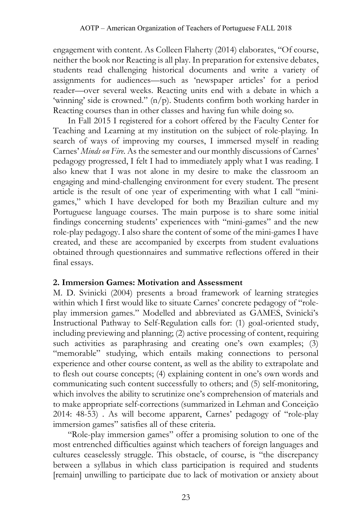engagement with content. As Colleen Flaherty (2014) elaborates, "Of course, neither the book nor Reacting is all play. In preparation for extensive debates, students read challenging historical documents and write a variety of assignments for audiences—such as 'newspaper articles' for a period reader—over several weeks. Reacting units end with a debate in which a 'winning' side is crowned."  $(n/p)$ . Students confirm both working harder in Reacting courses than in other classes and having fun while doing so.

In Fall 2015 I registered for a cohort offered by the Faculty Center for Teaching and Learning at my institution on the subject of role-playing. In search of ways of improving my courses, I immersed myself in reading Carnes' *Minds on Fire*. As the semester and our monthly discussions of Carnes' pedagogy progressed, I felt I had to immediately apply what I was reading. I also knew that I was not alone in my desire to make the classroom an engaging and mind-challenging environment for every student. The present article is the result of one year of experimenting with what I call "minigames," which I have developed for both my Brazilian culture and my Portuguese language courses. The main purpose is to share some initial findings concerning students' experiences with "mini-games" and the new role-play pedagogy. I also share the content of some of the mini-games I have created, and these are accompanied by excerpts from student evaluations obtained through questionnaires and summative reflections offered in their final essays.

# **2. Immersion Games: Motivation and Assessment**

M. D. Svinicki (2004) presents a broad framework of learning strategies within which I first would like to situate Carnes' concrete pedagogy of "roleplay immersion games." Modelled and abbreviated as GAMES, Svinicki's Instructional Pathway to Self-Regulation calls for: (1) goal-oriented study, including previewing and planning; (2) active processing of content, requiring such activities as paraphrasing and creating one's own examples; (3) "memorable" studying, which entails making connections to personal experience and other course content, as well as the ability to extrapolate and to flesh out course concepts; (4) explaining content in one's own words and communicating such content successfully to others; and (5) self-monitoring, which involves the ability to scrutinize one's comprehension of materials and to make appropriate self-corrections (summarized in Lehman and Conceição 2014: 48-53) . As will become apparent, Carnes' pedagogy of "role-play immersion games" satisfies all of these criteria.

"Role-play immersion games" offer a promising solution to one of the most entrenched difficulties against which teachers of foreign languages and cultures ceaselessly struggle. This obstacle, of course, is "the discrepancy between a syllabus in which class participation is required and students [remain] unwilling to participate due to lack of motivation or anxiety about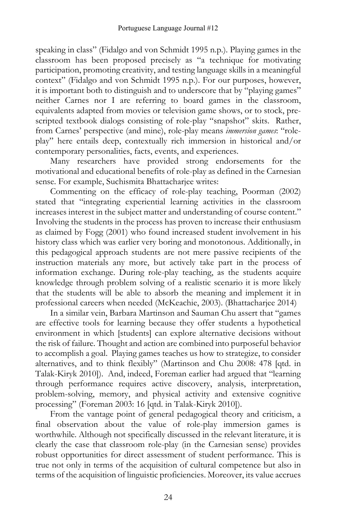speaking in class" (Fidalgo and von Schmidt 1995 n.p.). Playing games in the classroom has been proposed precisely as "a technique for motivating participation, promoting creativity, and testing language skills in a meaningful context" (Fidalgo and von Schmidt 1995 n.p.). For our purposes, however, it is important both to distinguish and to underscore that by "playing games" neither Carnes nor I are referring to board games in the classroom, equivalents adapted from movies or television game shows, or to stock, prescripted textbook dialogs consisting of role-play "snapshot" skits. Rather, from Carnes' perspective (and mine), role-play means *immersion games*: "roleplay" here entails deep, contextually rich immersion in historical and/or contemporary personalities, facts, events, and experiences.

Many researchers have provided strong endorsements for the motivational and educational benefits of role-play as defined in the Carnesian sense. For example, Suchismita Bhattacharjee writes:

Commenting on the efficacy of role-play teaching, Poorman (2002) stated that "integrating experiential learning activities in the classroom increases interest in the subject matter and understanding of course content." Involving the students in the process has proven to increase their enthusiasm as claimed by Fogg (2001) who found increased student involvement in his history class which was earlier very boring and monotonous. Additionally, in this pedagogical approach students are not mere passive recipients of the instruction materials any more, but actively take part in the process of information exchange. During role-play teaching, as the students acquire knowledge through problem solving of a realistic scenario it is more likely that the students will be able to absorb the meaning and implement it in professional careers when needed (McKeachie, 2003). (Bhattacharjee 2014)

In a similar vein, Barbara Martinson and Sauman Chu assert that "games are effective tools for learning because they offer students a hypothetical environment in which [students] can explore alternative decisions without the risk of failure. Thought and action are combined into purposeful behavior to accomplish a goal. Playing games teaches us how to strategize, to consider alternatives, and to think flexibly" (Martinson and Chu 2008: 478 [qtd. in Talak-Kiryk 2010]). And, indeed, Foreman earlier had argued that "learning through performance requires active discovery, analysis, interpretation, problem-solving, memory, and physical activity and extensive cognitive processing" (Foreman 2003: 16 [qtd. in Talak-Kiryk 2010]).

From the vantage point of general pedagogical theory and criticism, a final observation about the value of role-play immersion games is worthwhile. Although not specifically discussed in the relevant literature, it is clearly the case that classroom role-play (in the Carnesian sense) provides robust opportunities for direct assessment of student performance. This is true not only in terms of the acquisition of cultural competence but also in terms of the acquisition of linguistic proficiencies. Moreover, its value accrues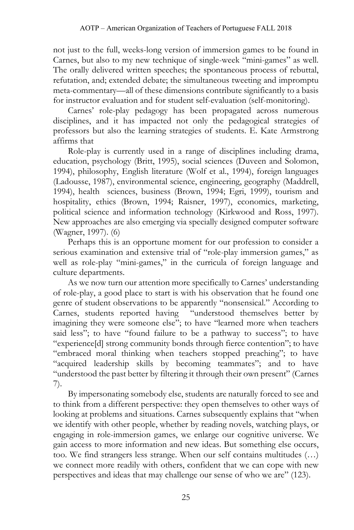not just to the full, weeks-long version of immersion games to be found in Carnes, but also to my new technique of single-week "mini-games" as well. The orally delivered written speeches; the spontaneous process of rebuttal, refutation, and; extended debate; the simultaneous tweeting and impromptu meta-commentary—all of these dimensions contribute significantly to a basis for instructor evaluation and for student self-evaluation (self-monitoring).

Carnes' role-play pedagogy has been propagated across numerous disciplines, and it has impacted not only the pedagogical strategies of professors but also the learning strategies of students. E. Kate Armstrong affirms that

Role-play is currently used in a range of disciplines including drama, education, psychology (Britt, 1995), social sciences (Duveen and Solomon, 1994), philosophy, English literature (Wolf et al., 1994), foreign languages (Ladousse, 1987), environmental science, engineering, geography (Maddrell, 1994), health sciences, business (Brown, 1994; Egri, 1999), tourism and hospitality, ethics (Brown, 1994; Raisner, 1997), economics, marketing, political science and information technology (Kirkwood and Ross, 1997). New approaches are also emerging via specially designed computer software (Wagner, 1997). (6)

Perhaps this is an opportune moment for our profession to consider a serious examination and extensive trial of "role-play immersion games," as well as role-play "mini-games," in the curricula of foreign language and culture departments.

As we now turn our attention more specifically to Carnes' understanding of role-play, a good place to start is with his observation that he found one genre of student observations to be apparently "nonsensical." According to Carnes, students reported having "understood themselves better by imagining they were someone else"; to have "learned more when teachers said less"; to have "found failure to be a pathway to success"; to have "experience[d] strong community bonds through fierce contention"; to have "embraced moral thinking when teachers stopped preaching"; to have "acquired leadership skills by becoming teammates"; and to have "understood the past better by filtering it through their own present" (Carnes 7).

By impersonating somebody else, students are naturally forced to see and to think from a different perspective: they open themselves to other ways of looking at problems and situations. Carnes subsequently explains that "when we identify with other people, whether by reading novels, watching plays, or engaging in role-immersion games, we enlarge our cognitive universe. We gain access to more information and new ideas. But something else occurs, too. We find strangers less strange. When our self contains multitudes (…) we connect more readily with others, confident that we can cope with new perspectives and ideas that may challenge our sense of who we are" (123).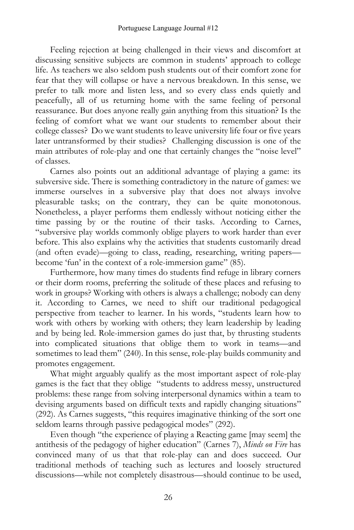Feeling rejection at being challenged in their views and discomfort at discussing sensitive subjects are common in students' approach to college life. As teachers we also seldom push students out of their comfort zone for fear that they will collapse or have a nervous breakdown. In this sense, we prefer to talk more and listen less, and so every class ends quietly and peacefully, all of us returning home with the same feeling of personal reassurance. But does anyone really gain anything from this situation? Is the feeling of comfort what we want our students to remember about their college classes? Do we want students to leave university life four or five years later untransformed by their studies? Challenging discussion is one of the main attributes of role-play and one that certainly changes the "noise level" of classes.

Carnes also points out an additional advantage of playing a game: its subversive side. There is something contradictory in the nature of games: we immerse ourselves in a subversive play that does not always involve pleasurable tasks; on the contrary, they can be quite monotonous. Nonetheless, a player performs them endlessly without noticing either the time passing by or the routine of their tasks. According to Carnes, "subversive play worlds commonly oblige players to work harder than ever before. This also explains why the activities that students customarily dread (and often evade)—going to class, reading, researching, writing papers become 'fun' in the context of a role-immersion game" (85).

Furthermore, how many times do students find refuge in library corners or their dorm rooms, preferring the solitude of these places and refusing to work in groups? Working with others is always a challenge; nobody can deny it. According to Carnes, we need to shift our traditional pedagogical perspective from teacher to learner. In his words, "students learn how to work with others by working with others; they learn leadership by leading and by being led. Role-immersion games do just that, by thrusting students into complicated situations that oblige them to work in teams—and sometimes to lead them" (240). In this sense, role-play builds community and promotes engagement.

What might arguably qualify as the most important aspect of role-play games is the fact that they oblige "students to address messy, unstructured problems: these range from solving interpersonal dynamics within a team to devising arguments based on difficult texts and rapidly changing situations" (292). As Carnes suggests, "this requires imaginative thinking of the sort one seldom learns through passive pedagogical modes" (292).

Even though "the experience of playing a Reacting game [may seem] the antithesis of the pedagogy of higher education" (Carnes 7), *Minds on Fire* has convinced many of us that that role-play can and does succeed. Our traditional methods of teaching such as lectures and loosely structured discussions—while not completely disastrous—should continue to be used,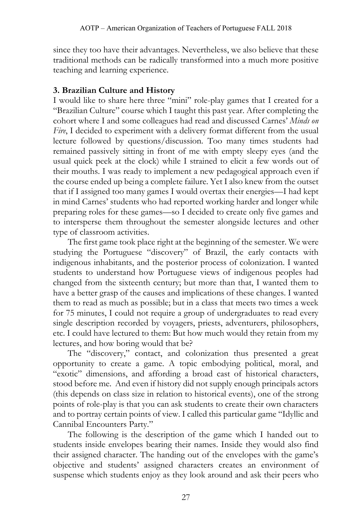since they too have their advantages. Nevertheless, we also believe that these traditional methods can be radically transformed into a much more positive teaching and learning experience.

# **3. Brazilian Culture and History**

I would like to share here three "mini" role-play games that I created for a "Brazilian Culture" course which I taught this past year. After completing the cohort where I and some colleagues had read and discussed Carnes' *Minds on Fire*, I decided to experiment with a delivery format different from the usual lecture followed by questions/discussion. Too many times students had remained passively sitting in front of me with empty sleepy eyes (and the usual quick peek at the clock) while I strained to elicit a few words out of their mouths. I was ready to implement a new pedagogical approach even if the course ended up being a complete failure. Yet I also knew from the outset that if I assigned too many games I would overtax their energies—I had kept in mind Carnes' students who had reported working harder and longer while preparing roles for these games—so I decided to create only five games and to intersperse them throughout the semester alongside lectures and other type of classroom activities.

The first game took place right at the beginning of the semester. We were studying the Portuguese "discovery" of Brazil, the early contacts with indigenous inhabitants, and the posterior process of colonization. I wanted students to understand how Portuguese views of indigenous peoples had changed from the sixteenth century; but more than that, I wanted them to have a better grasp of the causes and implications of these changes. I wanted them to read as much as possible; but in a class that meets two times a week for 75 minutes, I could not require a group of undergraduates to read every single description recorded by voyagers, priests, adventurers, philosophers, etc. I could have lectured to them: But how much would they retain from my lectures, and how boring would that be?

The "discovery," contact, and colonization thus presented a great opportunity to create a game. A topic embodying political, moral, and "exotic" dimensions, and affording a broad cast of historical characters, stood before me. And even if history did not supply enough principals actors (this depends on class size in relation to historical events), one of the strong points of role-play is that you can ask students to create their own characters and to portray certain points of view. I called this particular game "Idyllic and Cannibal Encounters Party."

The following is the description of the game which I handed out to students inside envelopes bearing their names. Inside they would also find their assigned character. The handing out of the envelopes with the game's objective and students' assigned characters creates an environment of suspense which students enjoy as they look around and ask their peers who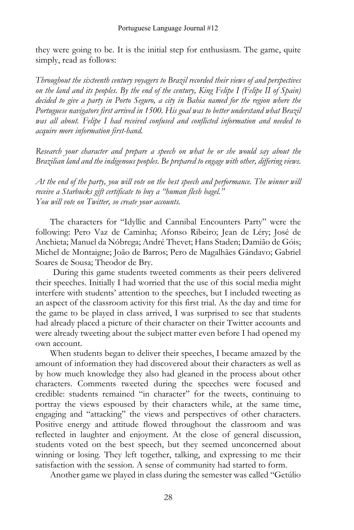they were going to be. It is the initial step for enthusiasm. The game, quite simply, read as follows:

*Throughout the sixteenth century voyagers to Brazil recorded their views of and perspectives on the land and its peoples. By the end of the century, King Felipe I (Felipe II of Spain) decided to give a party in Porto Seguro, a city in Bahia named for the region where the Portuguese navigators first arrived in 1500. His goal was to better understand what Brazil was all about. Felipe I had received confused and conflicted information and needed to acquire more information first-hand.*

*Research your character and prepare a speech on what he or she would say about the Brazilian land and the indigenous peoples. Be prepared to engage with other, differing views.*

*At the end of the party, you will vote on the best speech and performance. The winner will receive a Starbucks gift certificate to buy a "human flesh bagel." You will vote on Twitter, so create your accounts.*

The characters for "Idyllic and Cannibal Encounters Party" were the following: Pero Vaz de Caminha; Afonso Ribeiro; Jean de Léry; José de Anchieta; Manuel da Nóbrega; André Thevet; Hans Staden; Damião de Góis; Michel de Montaigne; João de Barros; Pero de Magalhães Gândavo; Gabriel Soares de Sousa; Theodor de Bry.

During this game students tweeted comments as their peers delivered their speeches. Initially I had worried that the use of this social media might interfere with students' attention to the speeches, but I included tweeting as an aspect of the classroom activity for this first trial. As the day and time for the game to be played in class arrived, I was surprised to see that students had already placed a picture of their character on their Twitter accounts and were already tweeting about the subject matter even before I had opened my own account.

When students began to deliver their speeches, I became amazed by the amount of information they had discovered about their characters as well as by how much knowledge they also had gleaned in the process about other characters. Comments tweeted during the speeches were focused and credible: students remained "in character" for the tweets, continuing to portray the views espoused by their characters while, at the same time, engaging and "attacking" the views and perspectives of other characters. Positive energy and attitude flowed throughout the classroom and was reflected in laughter and enjoyment. At the close of general discussion, students voted on the best speech, but they seemed unconcerned about winning or losing. They left together, talking, and expressing to me their satisfaction with the session. A sense of community had started to form.

Another game we played in class during the semester was called "Getúlio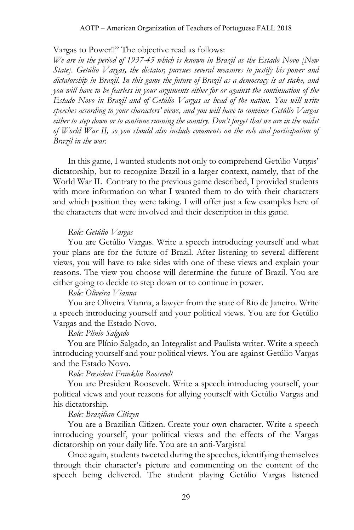### Vargas to Power!!" The objective read as follows:

*We are in the period of 1937-45 which is known in Brazil as the Estado Novo [New State]. Getúlio Vargas, the dictator, pursues several measures to justify his power and dictatorship in Brazil. In this game the future of Brazil as a democracy is at stake, and you will have to be fearless in your arguments either for or against the continuation of the Estado Novo in Brazil and of Getúlio Vargas as head of the nation. You will write speeches according to your characters' views, and you will have to convince Getúlio Vargas either to step down or to continue running the country. Don't forget that we are in the midst of World War II, so you should also include comments on the role and participation of Brazil in the war.*

In this game, I wanted students not only to comprehend Getúlio Vargas' dictatorship, but to recognize Brazil in a larger context, namely, that of the World War II. Contrary to the previous game described, I provided students with more information on what I wanted them to do with their characters and which position they were taking. I will offer just a few examples here of the characters that were involved and their description in this game.

#### *Role: Getúlio Vargas*

You are Getúlio Vargas. Write a speech introducing yourself and what your plans are for the future of Brazil. After listening to several different views, you will have to take sides with one of these views and explain your reasons. The view you choose will determine the future of Brazil. You are either going to decide to step down or to continue in power.

## *Role: Oliveira Vianna*

You are Oliveira Vianna, a lawyer from the state of Rio de Janeiro. Write a speech introducing yourself and your political views. You are for Getúlio Vargas and the Estado Novo.

## *Role: Plínio Salgado*

You are Plínio Salgado, an Integralist and Paulista writer. Write a speech introducing yourself and your political views. You are against Getúlio Vargas and the Estado Novo.

#### *Role: President Franklin Roosevelt*

You are President Roosevelt. Write a speech introducing yourself, your political views and your reasons for allying yourself with Getúlio Vargas and his dictatorship.

### *Role: Brazilian Citizen*

You are a Brazilian Citizen. Create your own character. Write a speech introducing yourself, your political views and the effects of the Vargas dictatorship on your daily life. You are an anti-Vargista!

Once again, students tweeted during the speeches, identifying themselves through their character's picture and commenting on the content of the speech being delivered. The student playing Getúlio Vargas listened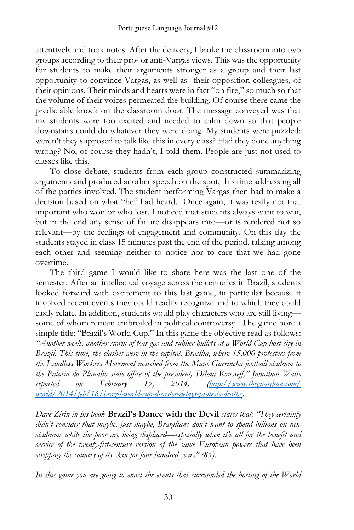attentively and took notes. After the delivery, I broke the classroom into two groups according to their pro- or anti-Vargas views. This was the opportunity for students to make their arguments stronger as a group and their last opportunity to convince Vargas, as well as their opposition colleagues, of their opinions. Their minds and hearts were in fact "on fire," so much so that the volume of their voices permeated the building. Of course there came the predictable knock on the classroom door. The message conveyed was that my students were too excited and needed to calm down so that people downstairs could do whatever they were doing. My students were puzzled: weren't they supposed to talk like this in every class? Had they done anything wrong? No, of course they hadn't, I told them. People are just not used to classes like this.

To close debate, students from each group constructed summarizing arguments and produced another speech on the spot, this time addressing all of the parties involved. The student performing Vargas then had to make a decision based on what "he" had heard. Once again, it was really not that important who won or who lost. I noticed that students always want to win, but in the end any sense of failure disappears into—or is rendered not so relevant—by the feelings of engagement and community. On this day the students stayed in class 15 minutes past the end of the period, talking among each other and seeming neither to notice nor to care that we had gone overtime.

The third game I would like to share here was the last one of the semester. After an intellectual voyage across the centuries in Brazil, students looked forward with excitement to this last game, in particular because it involved recent events they could readily recognize and to which they could easily relate. In addition, students would play characters who are still living some of whom remain embroiled in political controversy. The game bore a simple title: "Brazil's World Cup." In this game the objective read as follows: *"Another week, another storm of tear gas and rubber bullets at a World Cup host city in Brazil. This time, the clashes were in the capital, Brasília, where 15,000 protesters from the Landless Workers Movement marched from the Mané Garrincha football stadium to the Palácio do Planalto state office of the president, Dilma Rousseff," Jonathan Watts reported on February 15, 2014. [\(http://www.theguardian.com/](http://www.theguardian.com/%20world/2014/feb/16/brazil-world-cup-disaster-delays-protests-deaths) [world/2014/feb/16/brazil-world-cup-disaster-delays-protests-deaths\)](http://www.theguardian.com/%20world/2014/feb/16/brazil-world-cup-disaster-delays-protests-deaths)*

*Dave Zirin in his book* **Brazil's Dance with the Devil** *states that: "They certainly didn't consider that maybe, just maybe, Brazilians don't want to spend billions on new stadiums while the poor are being displaced—especially when it's all for the benefit and service of the twenty-fist-century version of the same European powers that have been stripping the country of its skin for four hundred years" (85).*

*In this game you are going to enact the events that surrounded the hosting of the World*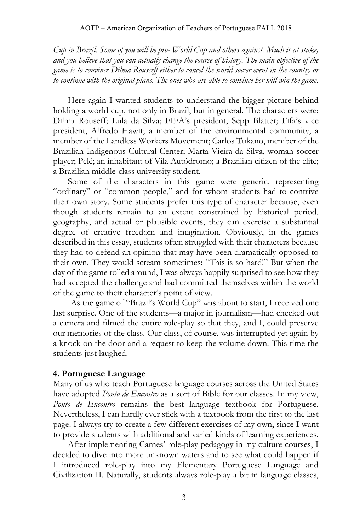*Cup in Brazil. Some of you will be pro- World Cup and others against. Much is at stake, and you believe that you can actually change the course of history. The main objective of the game is to convince Dilma Rousseff either to cancel the world soccer event in the country or to continue with the original plans. The ones who are able to convince her will win the game.*

Here again I wanted students to understand the bigger picture behind holding a world cup, not only in Brazil, but in general. The characters were: Dilma Rouseff; Lula da Silva; FIFA's president, Sepp Blatter; Fifa's vice president, Alfredo Hawit; a member of the environmental community; a member of the Landless Workers Movement; Carlos Tukano, member of the Brazilian Indigenous Cultural Center; Marta Vieira da Silva, woman soccer player; Pelé; an inhabitant of Vila Autódromo; a Brazilian citizen of the elite; a Brazilian middle-class university student.

Some of the characters in this game were generic, representing "ordinary" or "common people," and for whom students had to contrive their own story. Some students prefer this type of character because, even though students remain to an extent constrained by historical period, geography, and actual or plausible events, they can exercise a substantial degree of creative freedom and imagination. Obviously, in the games described in this essay, students often struggled with their characters because they had to defend an opinion that may have been dramatically opposed to their own. They would scream sometimes: "This is so hard!" But when the day of the game rolled around, I was always happily surprised to see how they had accepted the challenge and had committed themselves within the world of the game to their character's point of view.

As the game of "Brazil's World Cup" was about to start, I received one last surprise. One of the students—a major in journalism—had checked out a camera and filmed the entire role-play so that they, and I, could preserve our memories of the class. Our class, of course, was interrupted yet again by a knock on the door and a request to keep the volume down. This time the students just laughed.

# **4. Portuguese Language**

Many of us who teach Portuguese language courses across the United States have adopted *Ponto de Encontro* as a sort of Bible for our classes. In my view, *Ponto de Encontro* remains the best language textbook for Portuguese. Nevertheless, I can hardly ever stick with a textbook from the first to the last page. I always try to create a few different exercises of my own, since I want to provide students with additional and varied kinds of learning experiences.

After implementing Carnes' role-play pedagogy in my culture courses, I decided to dive into more unknown waters and to see what could happen if I introduced role-play into my Elementary Portuguese Language and Civilization II. Naturally, students always role-play a bit in language classes,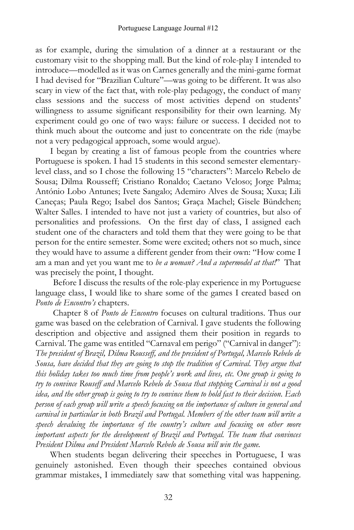as for example, during the simulation of a dinner at a restaurant or the customary visit to the shopping mall. But the kind of role-play I intended to introduce—modelled as it was on Carnes generally and the mini-game format I had devised for "Brazilian Culture"—was going to be different. It was also scary in view of the fact that, with role-play pedagogy, the conduct of many class sessions and the success of most activities depend on students' willingness to assume significant responsibility for their own learning. My experiment could go one of two ways: failure or success. I decided not to think much about the outcome and just to concentrate on the ride (maybe not a very pedagogical approach, some would argue).

I began by creating a list of famous people from the countries where Portuguese is spoken. I had 15 students in this second semester elementarylevel class, and so I chose the following 15 "characters": Marcelo Rebelo de Sousa; Dilma Rousseff; Cristiano Ronaldo; Caetano Veloso; Jorge Palma; António Lobo Antunes; Ivete Sangalo; Ademiro Alves de Sousa; Xuxa; Lili Caneças; Paula Rego; Isabel dos Santos; Graça Machel; Gisele Bündchen; Walter Salles. I intended to have not just a variety of countries, but also of personalities and professions. On the first day of class, I assigned each student one of the characters and told them that they were going to be that person for the entire semester. Some were excited; others not so much, since they would have to assume a different gender from their own: "How come I am a man and yet you want me to *be a woman? And a supermodel at that!*" That was precisely the point, I thought.

Before I discuss the results of the role-play experience in my Portuguese language class, I would like to share some of the games I created based on *Ponto de Encontro's* chapters.

Chapter 8 of *Ponto de Encontro* focuses on cultural traditions. Thus our game was based on the celebration of Carnival. I gave students the following description and objective and assigned them their position in regards to Carnival. The game was entitled "Carnaval em perigo" ("Carnival in danger"): *The president of Brazil, Dilma Rousseff, and the president of Portugal, Marcelo Rebelo de Sousa, have decided that they are going to stop the tradition of Carnival. They argue that this holiday takes too much time from people's work and lives, etc. One group is going to try to convince Rouseff and Marcelo Rebelo de Sousa that stopping Carnival is not a good* idea, and the other group is going to try to convince them to hold fast to their decision. Each *person of each group will write a speech focusing on the importance of culture in general and carnival in particular in both Brazil and Portugal. Members of the other team will write a speech devaluing the importance of the country's culture and focusing on other more important aspects for the development of Brazil and Portugal. The team that convinces President Dilma and President Marcelo Rebelo de Sousa will win the game.*

When students began delivering their speeches in Portuguese, I was genuinely astonished. Even though their speeches contained obvious grammar mistakes, I immediately saw that something vital was happening.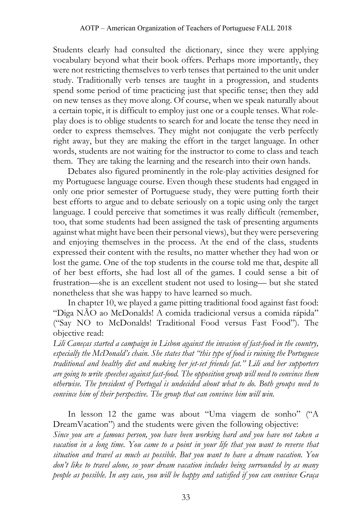Students clearly had consulted the dictionary, since they were applying vocabulary beyond what their book offers. Perhaps more importantly, they were not restricting themselves to verb tenses that pertained to the unit under study. Traditionally verb tenses are taught in a progression, and students spend some period of time practicing just that specific tense; then they add on new tenses as they move along. Of course, when we speak naturally about a certain topic, it is difficult to employ just one or a couple tenses. What roleplay does is to oblige students to search for and locate the tense they need in order to express themselves. They might not conjugate the verb perfectly right away, but they are making the effort in the target language. In other words, students are not waiting for the instructor to come to class and teach them. They are taking the learning and the research into their own hands.

Debates also figured prominently in the role-play activities designed for my Portuguese language course. Even though these students had engaged in only one prior semester of Portuguese study, they were putting forth their best efforts to argue and to debate seriously on a topic using only the target language. I could perceive that sometimes it was really difficult (remember, too, that some students had been assigned the task of presenting arguments against what might have been their personal views), but they were persevering and enjoying themselves in the process. At the end of the class, students expressed their content with the results, no matter whether they had won or lost the game. One of the top students in the course told me that, despite all of her best efforts, she had lost all of the games. I could sense a bit of frustration—she is an excellent student not used to losing— but she stated nonetheless that she was happy to have learned so much.

In chapter 10, we played a game pitting traditional food against fast food: "Diga NÃO ao McDonalds! A comida tradicional versus a comida rápida" ("Say NO to McDonalds! Traditional Food versus Fast Food"). The objective read:

*Lili Caneças started a campaign in Lisbon against the invasion of fast-food in the country, especially the McDonald's chain. She states that "this type of food is ruining the Portuguese traditional and healthy diet and making her jet-set friends fat." Lili and her supporters are going to write speeches against fast-food. The opposition group will need to convince them otherwise. The president of Portugal is undecided about what to do. Both groups need to convince him of their perspective. The group that can convince him will win.* 

In lesson 12 the game was about "Uma viagem de sonho" ("A DreamVacation") and the students were given the following objective:

*Since you are a famous person, you have been working hard and you have not taken a vacation in a long time. You came to a point in your life that you want to reverse that situation and travel as much as possible. But you want to have a dream vacation. You don't like to travel alone, so your dream vacation includes being surrounded by as many people as possible. In any case, you will be happy and satisfied if you can convince Graça*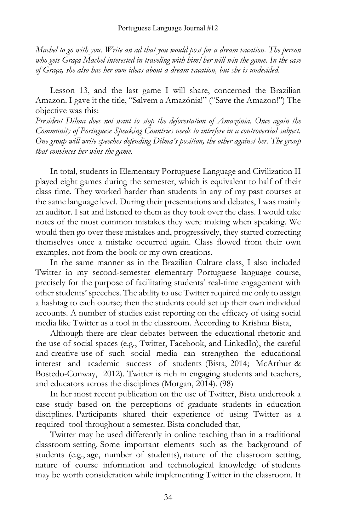*Machel to go with you. Write an ad that you would post for a dream vacation. The person who gets Graça Machel interested in traveling with him/her will win the game. In the case of Graça, she also has her own ideas about a dream vacation, but she is undecided.*

Lesson 13, and the last game I will share, concerned the Brazilian Amazon. I gave it the title, "Salvem a Amazónia!" ("Save the Amazon!") The objective was this:

*President Dilma does not want to stop the deforestation of Amazónia. Once again the Community of Portuguese Speaking Countries needs to interfere in a controversial subject. One group will write speeches defending Dilma's position, the other against her. The group that convinces her wins the game.*

In total, students in Elementary Portuguese Language and Civilization II played eight games during the semester, which is equivalent to half of their class time. They worked harder than students in any of my past courses at the same language level. During their presentations and debates, I was mainly an auditor. I sat and listened to them as they took over the class. I would take notes of the most common mistakes they were making when speaking. We would then go over these mistakes and, progressively, they started correcting themselves once a mistake occurred again. Class flowed from their own examples, not from the book or my own creations.

In the same manner as in the Brazilian Culture class, I also included Twitter in my second-semester elementary Portuguese language course, precisely for the purpose of facilitating students' real-time engagement with other students' speeches. The ability to use Twitter required me only to assign a hashtag to each course; then the students could set up their own individual accounts. A number of studies exist reporting on the efficacy of using social media like Twitter as a tool in the classroom. According to Krishna Bista,

Although there are clear debates between the educational rhetoric and the use of social spaces (e.g., Twitter, Facebook, and LinkedIn), the careful and creative use of such social media can strengthen the educational interest and academic success of students (Bista, 2014; McArthur & Bostedo-Conway, 2012). Twitter is rich in engaging students and teachers, and educators across the disciplines (Morgan, 2014). (98)

In her most recent publication on the use of Twitter, Bista undertook a case study based on the perceptions of graduate students in education disciplines. Participants shared their experience of using Twitter as a required tool throughout a semester. Bista concluded that,

Twitter may be used differently in online teaching than in a traditional classroom setting. Some important elements such as the background of students (e.g., age, number of students), nature of the classroom setting, nature of course information and technological knowledge of students may be worth consideration while implementing Twitter in the classroom. It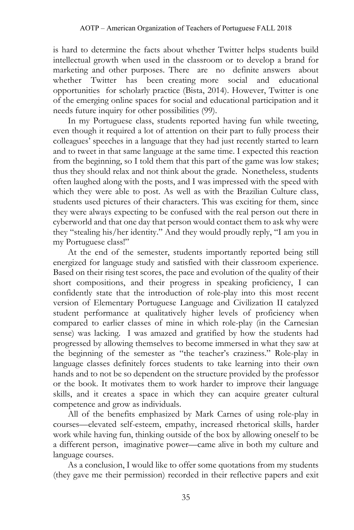is hard to determine the facts about whether Twitter helps students build intellectual growth when used in the classroom or to develop a brand for marketing and other purposes. There are no definite answers about whether Twitter has been creating more social and educational opportunities for scholarly practice (Bista, 2014). However, Twitter is one of the emerging online spaces for social and educational participation and it needs future inquiry for other possibilities (99).

In my Portuguese class, students reported having fun while tweeting, even though it required a lot of attention on their part to fully process their colleagues' speeches in a language that they had just recently started to learn and to tweet in that same language at the same time. I expected this reaction from the beginning, so I told them that this part of the game was low stakes; thus they should relax and not think about the grade. Nonetheless, students often laughed along with the posts, and I was impressed with the speed with which they were able to post. As well as with the Brazilian Culture class, students used pictures of their characters. This was exciting for them, since they were always expecting to be confused with the real person out there in cyberworld and that one day that person would contact them to ask why were they "stealing his/her identity." And they would proudly reply, "I am you in my Portuguese class!"

At the end of the semester, students importantly reported being still energized for language study and satisfied with their classroom experience. Based on their rising test scores, the pace and evolution of the quality of their short compositions, and their progress in speaking proficiency, I can confidently state that the introduction of role-play into this most recent version of Elementary Portuguese Language and Civilization II catalyzed student performance at qualitatively higher levels of proficiency when compared to earlier classes of mine in which role-play (in the Carnesian sense) was lacking. I was amazed and gratified by how the students had progressed by allowing themselves to become immersed in what they saw at the beginning of the semester as "the teacher's craziness." Role-play in language classes definitely forces students to take learning into their own hands and to not be so dependent on the structure provided by the professor or the book. It motivates them to work harder to improve their language skills, and it creates a space in which they can acquire greater cultural competence and grow as individuals.

All of the benefits emphasized by Mark Carnes of using role-play in courses—elevated self-esteem, empathy, increased rhetorical skills, harder work while having fun, thinking outside of the box by allowing oneself to be a different person, imaginative power—came alive in both my culture and language courses.

As a conclusion, I would like to offer some quotations from my students (they gave me their permission) recorded in their reflective papers and exit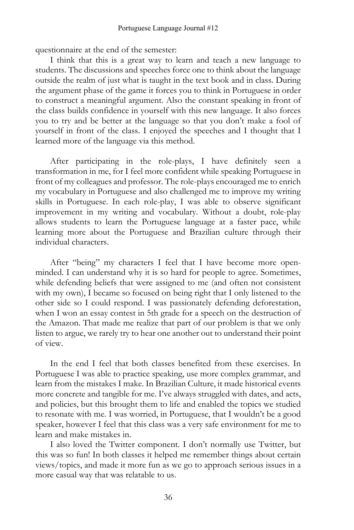questionnaire at the end of the semester:

I think that this is a great way to learn and teach a new language to students. The discussions and speeches force one to think about the language outside the realm of just what is taught in the text book and in class. During the argument phase of the game it forces you to think in Portuguese in order to construct a meaningful argument. Also the constant speaking in front of the class builds confidence in yourself with this new language. It also forces you to try and be better at the language so that you don't make a fool of yourself in front of the class. I enjoyed the speeches and I thought that I learned more of the language via this method.

After participating in the role-plays, I have definitely seen a transformation in me, for I feel more confident while speaking Portuguese in front of my colleagues and professor. The role-plays encouraged me to enrich my vocabulary in Portuguese and also challenged me to improve my writing skills in Portuguese. In each role-play, I was able to observe significant improvement in my writing and vocabulary. Without a doubt, role-play allows students to learn the Portuguese language at a faster pace, while learning more about the Portuguese and Brazilian culture through their individual characters.

After "being" my characters I feel that I have become more openminded. I can understand why it is so hard for people to agree. Sometimes, while defending beliefs that were assigned to me (and often not consistent with my own), I became so focused on being right that I only listened to the other side so I could respond. I was passionately defending deforestation, when I won an essay contest in 5th grade for a speech on the destruction of the Amazon. That made me realize that part of our problem is that we only listen to argue, we rarely try to hear one another out to understand their point of view.

In the end I feel that both classes benefited from these exercises. In Portuguese I was able to practice speaking, use more complex grammar, and learn from the mistakes I make. In Brazilian Culture, it made historical events more concrete and tangible for me. I've always struggled with dates, and acts, and policies, but this brought them to life and enabled the topics we studied to resonate with me. I was worried, in Portuguese, that I wouldn't be a good speaker, however I feel that this class was a very safe environment for me to learn and make mistakes in.

I also loved the Twitter component. I don't normally use Twitter, but this was so fun! In both classes it helped me remember things about certain views/topics, and made it more fun as we go to approach serious issues in a more casual way that was relatable to us.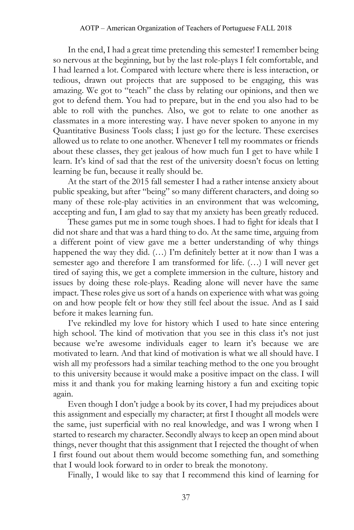In the end, I had a great time pretending this semester! I remember being so nervous at the beginning, but by the last role-plays I felt comfortable, and I had learned a lot. Compared with lecture where there is less interaction, or tedious, drawn out projects that are supposed to be engaging, this was amazing. We got to "teach" the class by relating our opinions, and then we got to defend them. You had to prepare, but in the end you also had to be able to roll with the punches. Also, we got to relate to one another as classmates in a more interesting way. I have never spoken to anyone in my Quantitative Business Tools class; I just go for the lecture. These exercises allowed us to relate to one another. Whenever I tell my roommates or friends about these classes, they get jealous of how much fun I get to have while I learn. It's kind of sad that the rest of the university doesn't focus on letting learning be fun, because it really should be.

At the start of the 2015 fall semester I had a rather intense anxiety about public speaking, but after "being" so many different characters, and doing so many of these role-play activities in an environment that was welcoming, accepting and fun, I am glad to say that my anxiety has been greatly reduced.

These games put me in some tough shoes. I had to fight for ideals that I did not share and that was a hard thing to do. At the same time, arguing from a different point of view gave me a better understanding of why things happened the way they did. (...) I'm definitely better at it now than I was a semester ago and therefore I am transformed for life. (…) I will never get tired of saying this, we get a complete immersion in the culture, history and issues by doing these role-plays. Reading alone will never have the same impact. These roles give us sort of a hands on experience with what was going on and how people felt or how they still feel about the issue. And as I said before it makes learning fun.

I've rekindled my love for history which I used to hate since entering high school. The kind of motivation that you see in this class it's not just because we're awesome individuals eager to learn it's because we are motivated to learn. And that kind of motivation is what we all should have. I wish all my professors had a similar teaching method to the one you brought to this university because it would make a positive impact on the class. I will miss it and thank you for making learning history a fun and exciting topic again.

Even though I don't judge a book by its cover, I had my prejudices about this assignment and especially my character; at first I thought all models were the same, just superficial with no real knowledge, and was I wrong when I started to research my character. Secondly always to keep an open mind about things, never thought that this assignment that I rejected the thought of when I first found out about them would become something fun, and something that I would look forward to in order to break the monotony.

Finally, I would like to say that I recommend this kind of learning for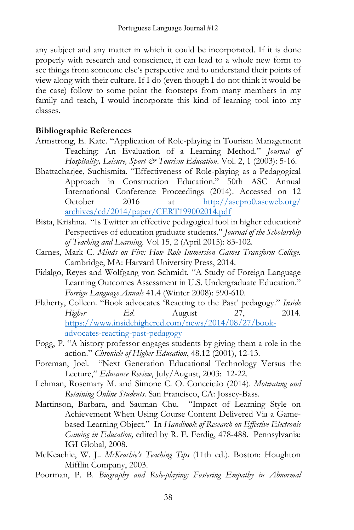any subject and any matter in which it could be incorporated. If it is done properly with research and conscience, it can lead to a whole new form to see things from someone else's perspective and to understand their points of view along with their culture. If I do (even though I do not think it would be the case) follow to some point the footsteps from many members in my family and teach, I would incorporate this kind of learning tool into my classes.

# **Bibliographic References**

- Armstrong, E. Kate. "Application of Role-playing in Tourism Management Teaching: An Evaluation of a Learning Method." *Journal of Hospitality, Leisure, Sport & Tourism Education*. Vol. 2, 1 (2003): 5-16.
- Bhattacharjee, Suchismita. "Effectiveness of Role-playing as a Pedagogical Approach in Construction Education." 50th ASC Annual International Conference Proceedings (2014). Accessed on 12 October 2016 at [http://ascpro0.ascweb.org/](http://ascpro0.ascweb.org/%20archives/cd/2014/paper/CERT199002014.pdf) [archives/cd/2014/paper/CERT199002014.pdf](http://ascpro0.ascweb.org/%20archives/cd/2014/paper/CERT199002014.pdf)
- Bista, Krishna. "Is Twitter an effective pedagogical tool in higher education? Perspectives of education graduate students." *Journal of the Scholarship of Teaching and Learning.* Vol 15, 2 (April 2015): 83-102.
- Carnes, Mark C. *Minds on Fire: How Role Immersion Games Transform College.* Cambridge, MA: Harvard University Press, 2014.
- Fidalgo, Reyes and Wolfgang von Schmidt. "A Study of Foreign Language Learning Outcomes Assessment in U.S. Undergraduate Education." *Foreign Language Annals* 41.4 (Winter 2008): 590-610.
- Flaherty, Colleen. "Book advocates 'Reacting to the Past' pedagogy." *Inside Higher Ed*. August 27, 2014. [https://www.insidehighered.com/news/2014/08/27/book](https://www.insidehighered.com/news/2014/08/27/book-advocates-reacting-past-pedagogy)[advocates-reacting-past-pedagogy](https://www.insidehighered.com/news/2014/08/27/book-advocates-reacting-past-pedagogy)
- Fogg, P. "A history professor engages students by giving them a role in the action." *Chronicle of Higher Education*, 48.12 (2001), 12-13.
- Foreman, Joel. "Next Generation Educational Technology Versus the Lecture," *Educause Review*, July/August, 2003: 12-22.
- Lehman, Rosemary M. and Simone C. O. Conceição (2014). *Motivating and Retaining Online Students*. San Francisco, CA: Jossey-Bass.
- Martinson, Barbara, and Sauman Chu. "Impact of Learning Style on Achievement When Using Course Content Delivered Via a Gamebased Learning Object." In *Handbook of Research on Effective Electronic Gaming in Education,* edited by R. E. Ferdig, 478-488. Pennsylvania: IGI Global, 2008.
- McKeachie, W. J.. *McKeachie's Teaching Tips* (11th ed.). Boston: Houghton Mifflin Company, 2003.
- Poorman, P. B. *Biography and Role-playing: Fostering Empathy in Abnormal*